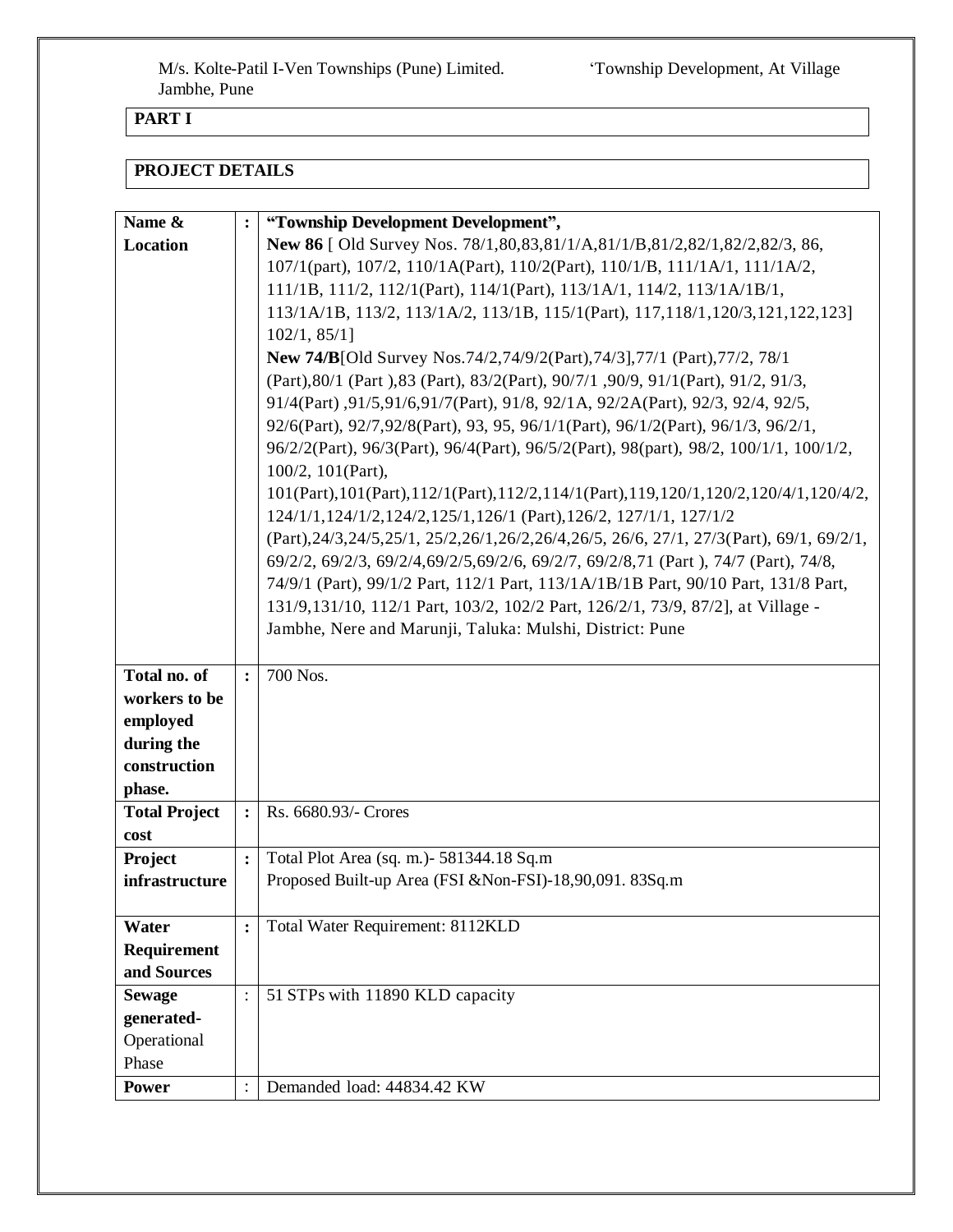## **PART I**

### **PROJECT DETAILS**

| Name &               | $\ddot{\cdot}$ | "Township Development Development",                                                            |  |  |  |  |  |
|----------------------|----------------|------------------------------------------------------------------------------------------------|--|--|--|--|--|
| Location             |                | New 86   Old Survey Nos. 78/1,80,83,81/1/A,81/1/B,81/2,82/1,82/2,82/3, 86,                     |  |  |  |  |  |
|                      |                | 107/1(part), 107/2, 110/1A(Part), 110/2(Part), 110/1/B, 111/1A/1, 111/1A/2,                    |  |  |  |  |  |
|                      |                | 111/1B, 111/2, 112/1(Part), 114/1(Part), 113/1A/1, 114/2, 113/1A/1B/1,                         |  |  |  |  |  |
|                      |                | 113/1A/1B, 113/2, 113/1A/2, 113/1B, 115/1(Part), 117, 118/1, 120/3, 121, 122, 123]             |  |  |  |  |  |
|                      |                | 102/1, 85/1                                                                                    |  |  |  |  |  |
|                      |                | <b>New 74/B</b> [Old Survey Nos.74/2,74/9/2(Part),74/3],77/1 (Part),77/2, 78/1                 |  |  |  |  |  |
|                      |                | (Part), 80/1 (Part), 83 (Part), 83/2(Part), 90/7/1, 90/9, 91/1(Part), 91/2, 91/3,              |  |  |  |  |  |
|                      |                | 91/4(Part), 91/5, 91/6, 91/7(Part), 91/8, 92/1A, 92/2A(Part), 92/3, 92/4, 92/5,                |  |  |  |  |  |
|                      |                | 92/6(Part), 92/7,92/8(Part), 93, 95, 96/1/1(Part), 96/1/2(Part), 96/1/3, 96/2/1,               |  |  |  |  |  |
|                      |                | 96/2/2(Part), 96/3(Part), 96/4(Part), 96/5/2(Part), 98(part), 98/2, 100/1/1, 100/1/2,          |  |  |  |  |  |
|                      |                | 100/2, 101(Part),                                                                              |  |  |  |  |  |
|                      |                |                                                                                                |  |  |  |  |  |
|                      |                | $101(Part), 101(Part), 112/1(Part), 112/2, 114/1(Part), 119, 120/1, 120/2, 120/4/1, 120/4/2,$  |  |  |  |  |  |
|                      |                | 124/1/1,124/1/2,124/2,125/1,126/1 (Part),126/2, 127/1/1, 127/1/2                               |  |  |  |  |  |
|                      |                | (Part), 24/3, 24/5, 25/1, 25/2, 26/1, 26/2, 26/4, 26/5, 26/6, 27/1, 27/3 (Part), 69/1, 69/2/1, |  |  |  |  |  |
|                      |                | 69/2/2, 69/2/3, 69/2/4, 69/2/5, 69/2/6, 69/2/7, 69/2/8, 71 (Part), 74/7 (Part), 74/8,          |  |  |  |  |  |
|                      |                | 74/9/1 (Part), 99/1/2 Part, 112/1 Part, 113/1A/1B/1B Part, 90/10 Part, 131/8 Part,             |  |  |  |  |  |
|                      |                | 131/9,131/10, 112/1 Part, 103/2, 102/2 Part, 126/2/1, 73/9, 87/2], at Village -                |  |  |  |  |  |
|                      |                | Jambhe, Nere and Marunji, Taluka: Mulshi, District: Pune                                       |  |  |  |  |  |
|                      |                |                                                                                                |  |  |  |  |  |
| Total no. of         | $\ddot{\cdot}$ | 700 Nos.                                                                                       |  |  |  |  |  |
| workers to be        |                |                                                                                                |  |  |  |  |  |
| employed             |                |                                                                                                |  |  |  |  |  |
| during the           |                |                                                                                                |  |  |  |  |  |
| construction         |                |                                                                                                |  |  |  |  |  |
| phase.               |                |                                                                                                |  |  |  |  |  |
| <b>Total Project</b> | $\ddot{\cdot}$ | Rs. 6680.93/- Crores                                                                           |  |  |  |  |  |
| cost                 |                |                                                                                                |  |  |  |  |  |
| Project              | $\ddot{\cdot}$ | Total Plot Area (sq. m.) - 581344.18 Sq.m                                                      |  |  |  |  |  |
| infrastructure       |                | Proposed Built-up Area (FSI & Non-FSI)-18,90,091. 83Sq.m                                       |  |  |  |  |  |
|                      |                |                                                                                                |  |  |  |  |  |
| Water                | $\ddot{\cdot}$ | Total Water Requirement: 8112KLD                                                               |  |  |  |  |  |
| <b>Requirement</b>   |                |                                                                                                |  |  |  |  |  |
| and Sources          |                |                                                                                                |  |  |  |  |  |
| <b>Sewage</b>        |                | 51 STPs with 11890 KLD capacity                                                                |  |  |  |  |  |
| generated-           |                |                                                                                                |  |  |  |  |  |
| Operational          |                |                                                                                                |  |  |  |  |  |
| Phase                |                |                                                                                                |  |  |  |  |  |
| <b>Power</b>         |                | Demanded load: 44834.42 KW                                                                     |  |  |  |  |  |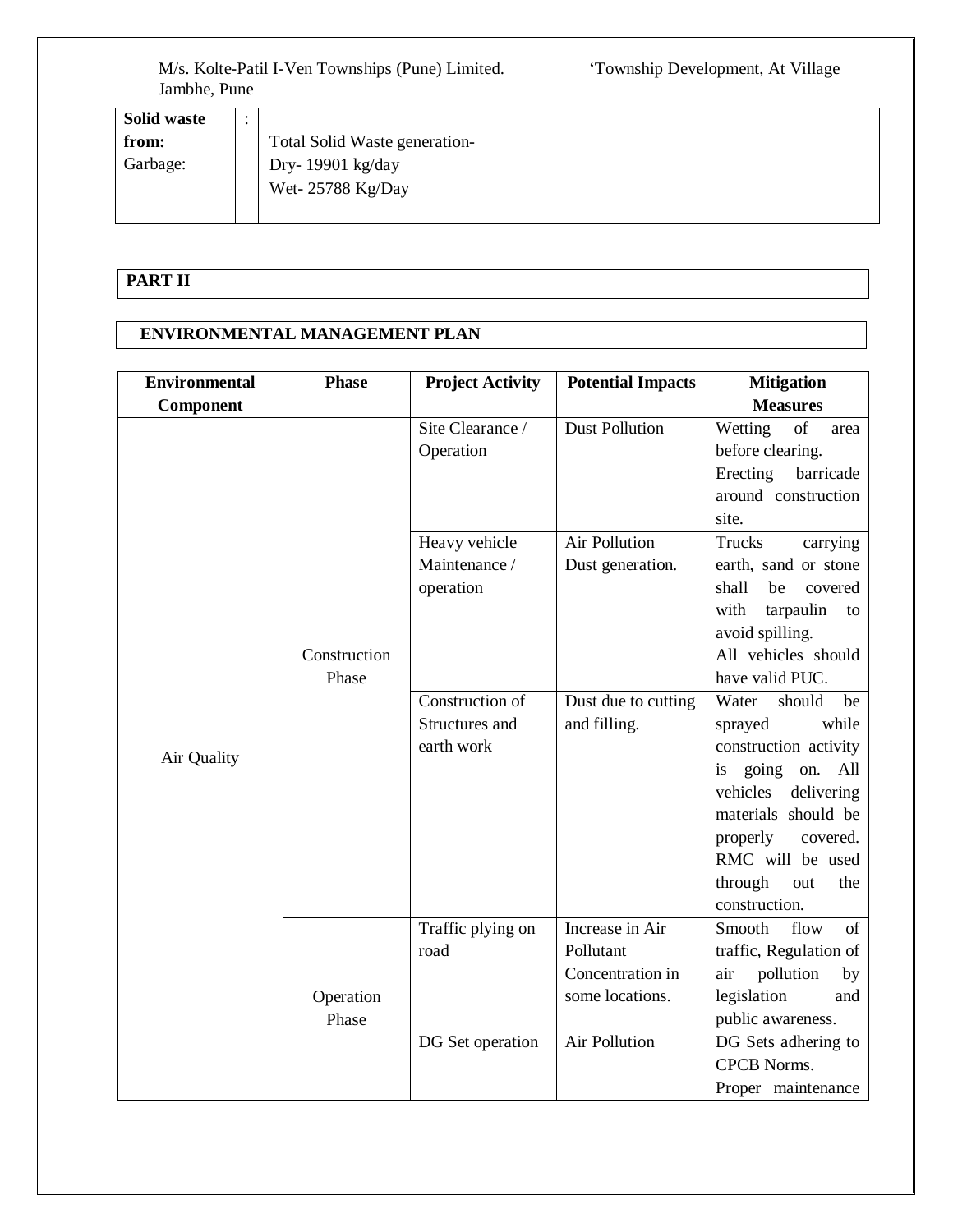| <b>Solid waste</b> | $\bullet$<br>$\bullet$ |                               |
|--------------------|------------------------|-------------------------------|
| from:              |                        | Total Solid Waste generation- |
| Garbage:           |                        | Dry-19901 kg/day              |
|                    |                        | Wet-25788 Kg/Day              |
|                    |                        |                               |

# **PART II**

### **ENVIRONMENTAL MANAGEMENT PLAN**

| <b>Environmental</b> | <b>Phase</b>       | <b>Project Activity</b>                         | <b>Potential Impacts</b>                                                                    | <b>Mitigation</b>                                                                                                                                                                                                                   |
|----------------------|--------------------|-------------------------------------------------|---------------------------------------------------------------------------------------------|-------------------------------------------------------------------------------------------------------------------------------------------------------------------------------------------------------------------------------------|
| Component            |                    |                                                 |                                                                                             | <b>Measures</b>                                                                                                                                                                                                                     |
|                      |                    | Site Clearance /<br>Operation                   | <b>Dust Pollution</b>                                                                       | of<br>Wetting<br>area<br>before clearing.<br>Erecting<br>barricade<br>around construction<br>site.                                                                                                                                  |
|                      | Construction       | Heavy vehicle<br>Maintenance /<br>operation     | <b>Air Pollution</b><br>Dust generation.                                                    | Trucks<br>carrying<br>earth, sand or stone<br>shall<br>be<br>covered<br>tarpaulin<br>with<br>to<br>avoid spilling.<br>All vehicles should                                                                                           |
|                      | Phase              |                                                 |                                                                                             | have valid PUC.                                                                                                                                                                                                                     |
| Air Quality          |                    | Construction of<br>Structures and<br>earth work | Dust due to cutting<br>and filling.                                                         | Water<br>should<br>be<br>while<br>sprayed<br>construction activity<br>is going<br>on.<br>All<br>vehicles<br>delivering<br>materials should be<br>properly<br>covered.<br>RMC will be used<br>through<br>the<br>out<br>construction. |
|                      | Operation<br>Phase | Traffic plying on<br>road<br>DG Set operation   | Increase in Air<br>Pollutant<br>Concentration in<br>some locations.<br><b>Air Pollution</b> | flow<br>Smooth<br>$\sigma$<br>traffic, Regulation of<br>pollution<br>air<br>by<br>legislation<br>and<br>public awareness.<br>DG Sets adhering to<br><b>CPCB Norms.</b>                                                              |
|                      |                    |                                                 |                                                                                             | Proper maintenance                                                                                                                                                                                                                  |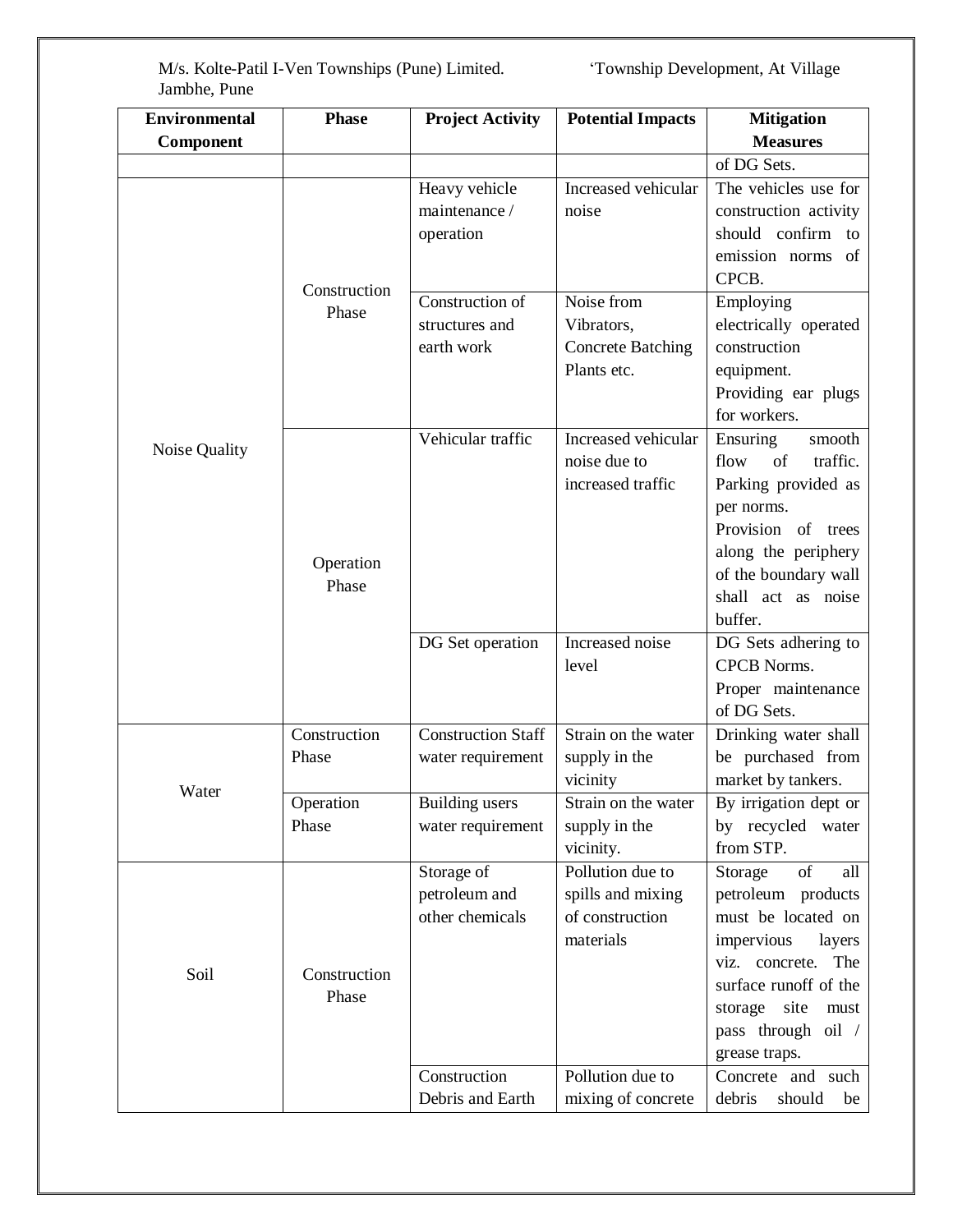| <b>Environmental</b> | <b>Phase</b> | <b>Project Activity</b>          | <b>Potential Impacts</b>     | <b>Mitigation</b>                             |
|----------------------|--------------|----------------------------------|------------------------------|-----------------------------------------------|
| <b>Component</b>     |              |                                  |                              | <b>Measures</b>                               |
|                      |              |                                  |                              | of DG Sets.                                   |
|                      |              | Heavy vehicle                    | Increased vehicular          | The vehicles use for                          |
|                      |              | maintenance /                    | noise                        | construction activity                         |
|                      |              | operation                        |                              | should confirm to                             |
|                      |              |                                  |                              | emission norms of                             |
|                      | Construction |                                  |                              | CPCB.                                         |
|                      | Phase        | Construction of                  | Noise from                   | Employing                                     |
|                      |              | structures and                   | Vibrators,                   | electrically operated                         |
|                      |              | earth work                       | <b>Concrete Batching</b>     | construction                                  |
|                      |              |                                  | Plants etc.                  | equipment.                                    |
|                      |              |                                  |                              | Providing ear plugs                           |
|                      |              |                                  |                              | for workers.                                  |
| Noise Quality        |              | Vehicular traffic                | Increased vehicular          | Ensuring<br>smooth                            |
|                      |              |                                  | noise due to                 | traffic.<br>of<br>flow                        |
|                      |              |                                  | increased traffic            | Parking provided as                           |
|                      |              |                                  |                              | per norms.                                    |
|                      |              |                                  |                              | Provision of trees                            |
|                      | Operation    |                                  |                              | along the periphery                           |
|                      | Phase        |                                  |                              | of the boundary wall                          |
|                      |              |                                  |                              | shall act as noise                            |
|                      |              |                                  |                              | buffer.                                       |
|                      |              | DG Set operation                 | Increased noise              | DG Sets adhering to                           |
|                      |              |                                  | level                        | <b>CPCB Norms.</b>                            |
|                      |              |                                  |                              | Proper maintenance                            |
|                      |              |                                  |                              | of DG Sets.                                   |
|                      | Construction | <b>Construction Staff</b>        | Strain on the water          | Drinking water shall                          |
|                      | Phase        | water requirement                | supply in the                | be purchased from                             |
| Water                |              |                                  | vicinity                     | market by tankers.                            |
|                      | Operation    | <b>Building</b> users            | Strain on the water          | By irrigation dept or                         |
|                      | Phase        | water requirement                | supply in the                | by recycled water                             |
|                      |              |                                  | vicinity.                    | from STP.                                     |
|                      |              | Storage of                       | Pollution due to             | of<br>Storage<br>all                          |
|                      |              | petroleum and<br>other chemicals | spills and mixing            | petroleum products                            |
|                      |              |                                  | of construction<br>materials | must be located on                            |
|                      |              |                                  |                              | impervious<br>layers<br>viz. concrete.<br>The |
| Soil                 | Construction |                                  |                              | surface runoff of the                         |
|                      | Phase        |                                  |                              | storage site<br>must                          |
|                      |              |                                  |                              | pass through oil /                            |
|                      |              |                                  |                              | grease traps.                                 |
|                      |              | Construction                     | Pollution due to             | Concrete and such                             |
|                      |              | Debris and Earth                 | mixing of concrete           | debris<br>should<br>be                        |
|                      |              |                                  |                              |                                               |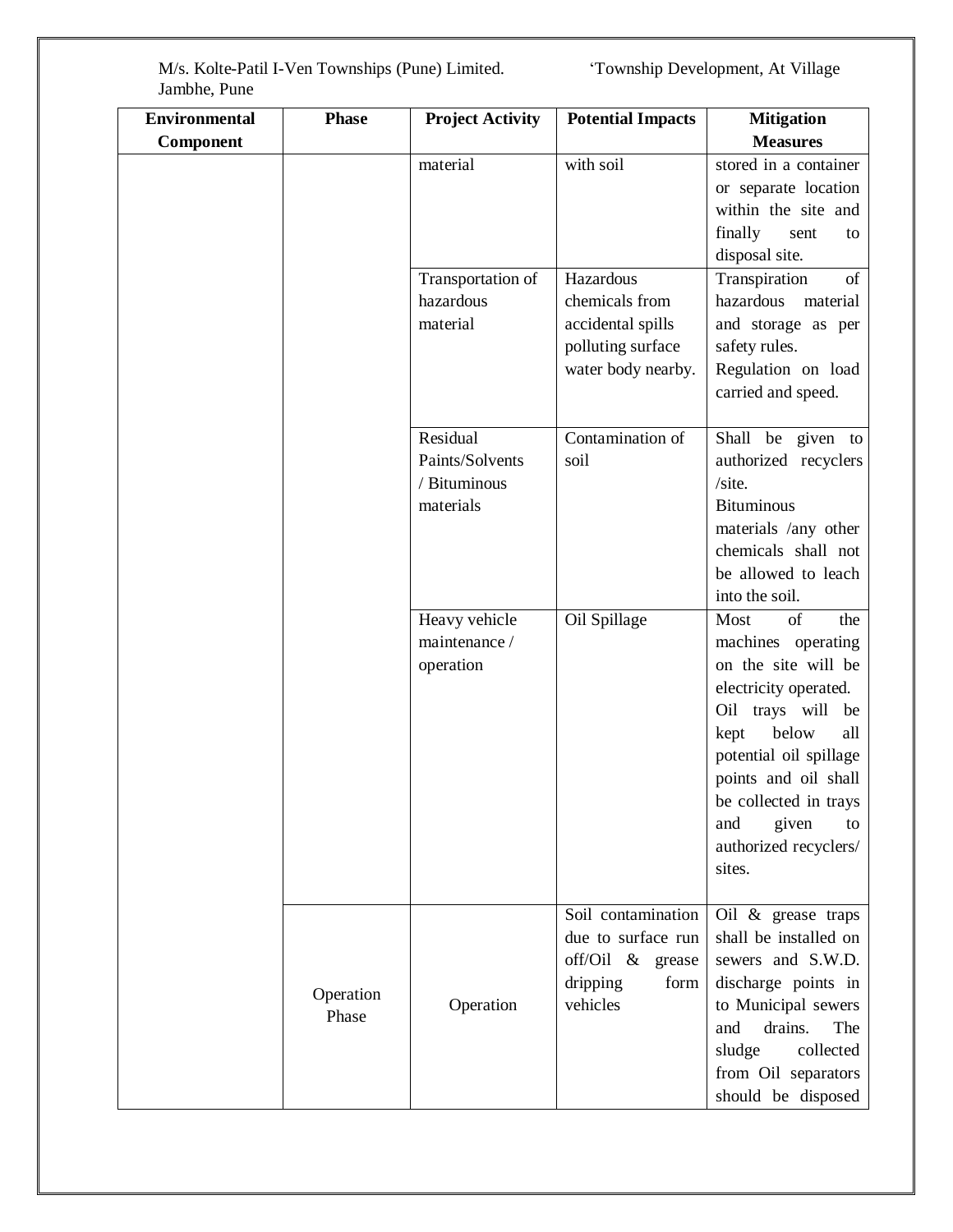| <b>Environmental</b> | <b>Phase</b>       | <b>Project Activity</b>                                  | <b>Potential Impacts</b>                                                                     | <b>Mitigation</b>                                                                                                                                                                                                                                                        |
|----------------------|--------------------|----------------------------------------------------------|----------------------------------------------------------------------------------------------|--------------------------------------------------------------------------------------------------------------------------------------------------------------------------------------------------------------------------------------------------------------------------|
| Component            |                    |                                                          |                                                                                              | <b>Measures</b>                                                                                                                                                                                                                                                          |
|                      |                    | material                                                 | with soil                                                                                    | stored in a container<br>or separate location<br>within the site and<br>finally<br>sent<br>to<br>disposal site.                                                                                                                                                          |
|                      |                    | Transportation of<br>hazardous<br>material               | Hazardous<br>chemicals from<br>accidental spills<br>polluting surface<br>water body nearby.  | Transpiration<br>of<br>hazardous<br>material<br>and storage as per<br>safety rules.<br>Regulation on load<br>carried and speed.                                                                                                                                          |
|                      |                    | Residual<br>Paints/Solvents<br>/ Bituminous<br>materials | Contamination of<br>soil                                                                     | Shall be given to<br>authorized recyclers<br>/site.<br><b>Bituminous</b><br>materials /any other<br>chemicals shall not<br>be allowed to leach<br>into the soil.                                                                                                         |
|                      |                    | Heavy vehicle<br>maintenance /<br>operation              | Oil Spillage                                                                                 | of<br>Most<br>the<br>machines operating<br>on the site will be<br>electricity operated.<br>Oil trays will be<br>below<br>kept<br>all<br>potential oil spillage<br>points and oil shall<br>be collected in trays<br>given<br>and<br>to<br>authorized recyclers/<br>sites. |
|                      | Operation<br>Phase | Operation                                                | Soil contamination<br>due to surface run<br>off/Oil & grease<br>dripping<br>form<br>vehicles | Oil & grease traps<br>shall be installed on<br>sewers and S.W.D.<br>discharge points in<br>to Municipal sewers<br>drains.<br>The<br>and<br>sludge<br>collected<br>from Oil separators<br>should be disposed                                                              |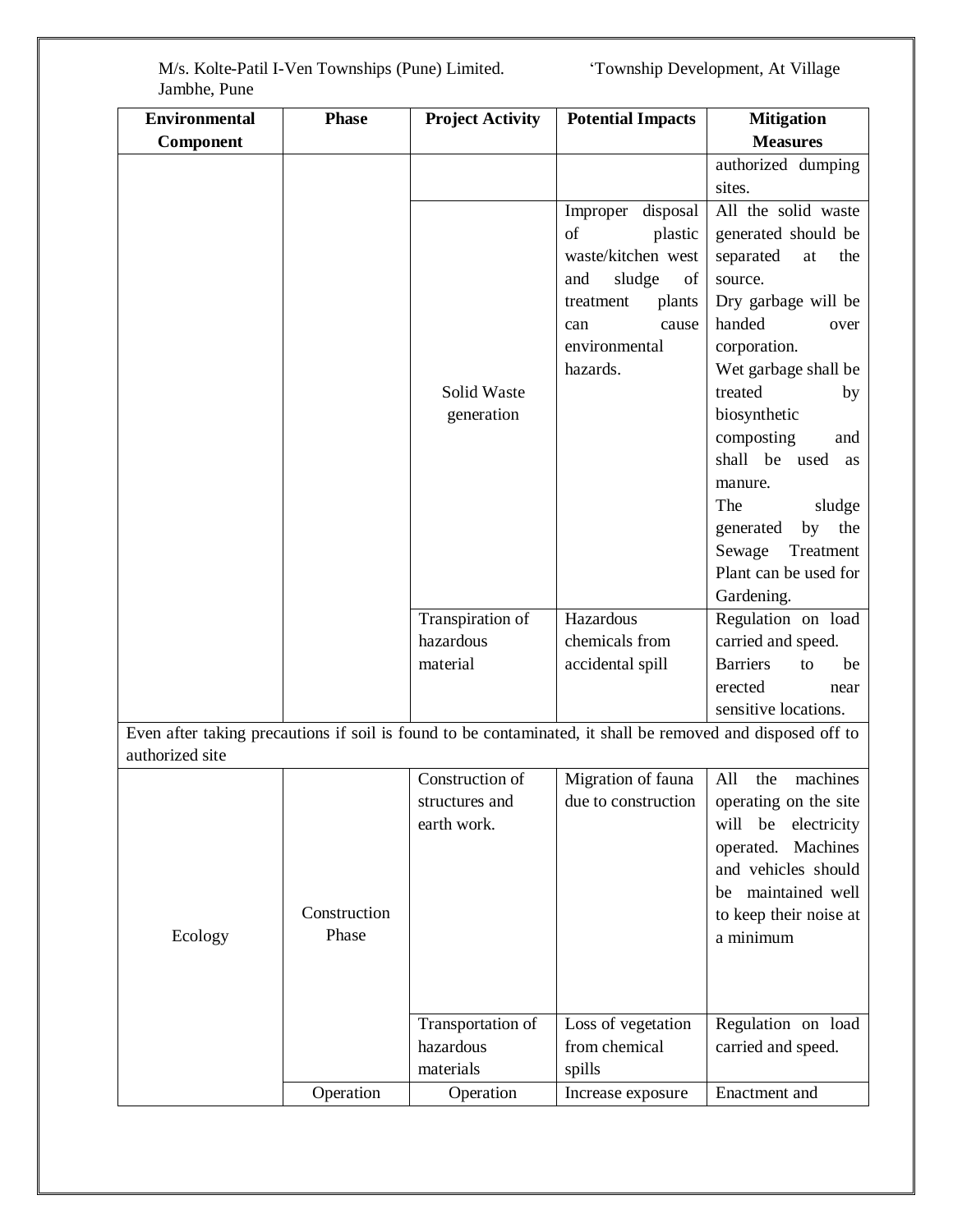| <b>Environmental</b>                                                                                       | <b>Phase</b> | <b>Project Activity</b>       | <b>Potential Impacts</b>    | <b>Mitigation</b>                        |
|------------------------------------------------------------------------------------------------------------|--------------|-------------------------------|-----------------------------|------------------------------------------|
| Component                                                                                                  |              |                               |                             | <b>Measures</b>                          |
|                                                                                                            |              |                               |                             | authorized dumping<br>sites.             |
|                                                                                                            |              |                               | Improper disposal           | All the solid waste                      |
|                                                                                                            |              |                               | of<br>plastic               | generated should be                      |
|                                                                                                            |              |                               | waste/kitchen west          | separated<br>at<br>the                   |
|                                                                                                            |              |                               | sludge<br>and<br>of         | source.                                  |
|                                                                                                            |              |                               | treatment<br>plants         | Dry garbage will be                      |
|                                                                                                            |              |                               | cause<br>can                | handed<br>over                           |
|                                                                                                            |              |                               | environmental               | corporation.                             |
|                                                                                                            |              |                               | hazards.                    | Wet garbage shall be                     |
|                                                                                                            |              | Solid Waste                   |                             | treated<br>by                            |
|                                                                                                            |              | generation                    |                             | biosynthetic                             |
|                                                                                                            |              |                               |                             | composting<br>and                        |
|                                                                                                            |              |                               |                             | shall be used<br>as                      |
|                                                                                                            |              |                               |                             | manure.                                  |
|                                                                                                            |              |                               |                             | The<br>sludge                            |
|                                                                                                            |              |                               |                             | by the<br>generated                      |
|                                                                                                            |              |                               |                             | Treatment<br>Sewage                      |
|                                                                                                            |              |                               |                             | Plant can be used for                    |
|                                                                                                            |              |                               |                             | Gardening.                               |
|                                                                                                            |              | Transpiration of<br>hazardous | Hazardous<br>chemicals from | Regulation on load<br>carried and speed. |
|                                                                                                            |              | material                      | accidental spill            | <b>Barriers</b><br>be<br>to              |
|                                                                                                            |              |                               |                             | erected<br>near                          |
|                                                                                                            |              |                               |                             | sensitive locations.                     |
| Even after taking precautions if soil is found to be contaminated, it shall be removed and disposed off to |              |                               |                             |                                          |
| authorized site                                                                                            |              |                               |                             |                                          |
|                                                                                                            |              | Construction of               | Migration of fauna          | All the machines                         |
|                                                                                                            |              | structures and                | due to construction         | operating on the site                    |
|                                                                                                            |              | earth work.                   |                             | be<br>electricity<br>will                |
|                                                                                                            |              |                               |                             | operated. Machines                       |
|                                                                                                            |              |                               |                             | and vehicles should                      |
|                                                                                                            |              |                               |                             | be maintained well                       |
|                                                                                                            | Construction |                               |                             | to keep their noise at                   |
| Ecology                                                                                                    | Phase        |                               |                             | a minimum                                |
|                                                                                                            |              |                               |                             |                                          |
|                                                                                                            |              |                               |                             |                                          |
|                                                                                                            |              | Transportation of             | Loss of vegetation          | Regulation on load                       |
|                                                                                                            |              | hazardous                     | from chemical               | carried and speed.                       |
|                                                                                                            |              | materials                     | spills                      |                                          |
|                                                                                                            | Operation    | Operation                     | Increase exposure           | Enactment and                            |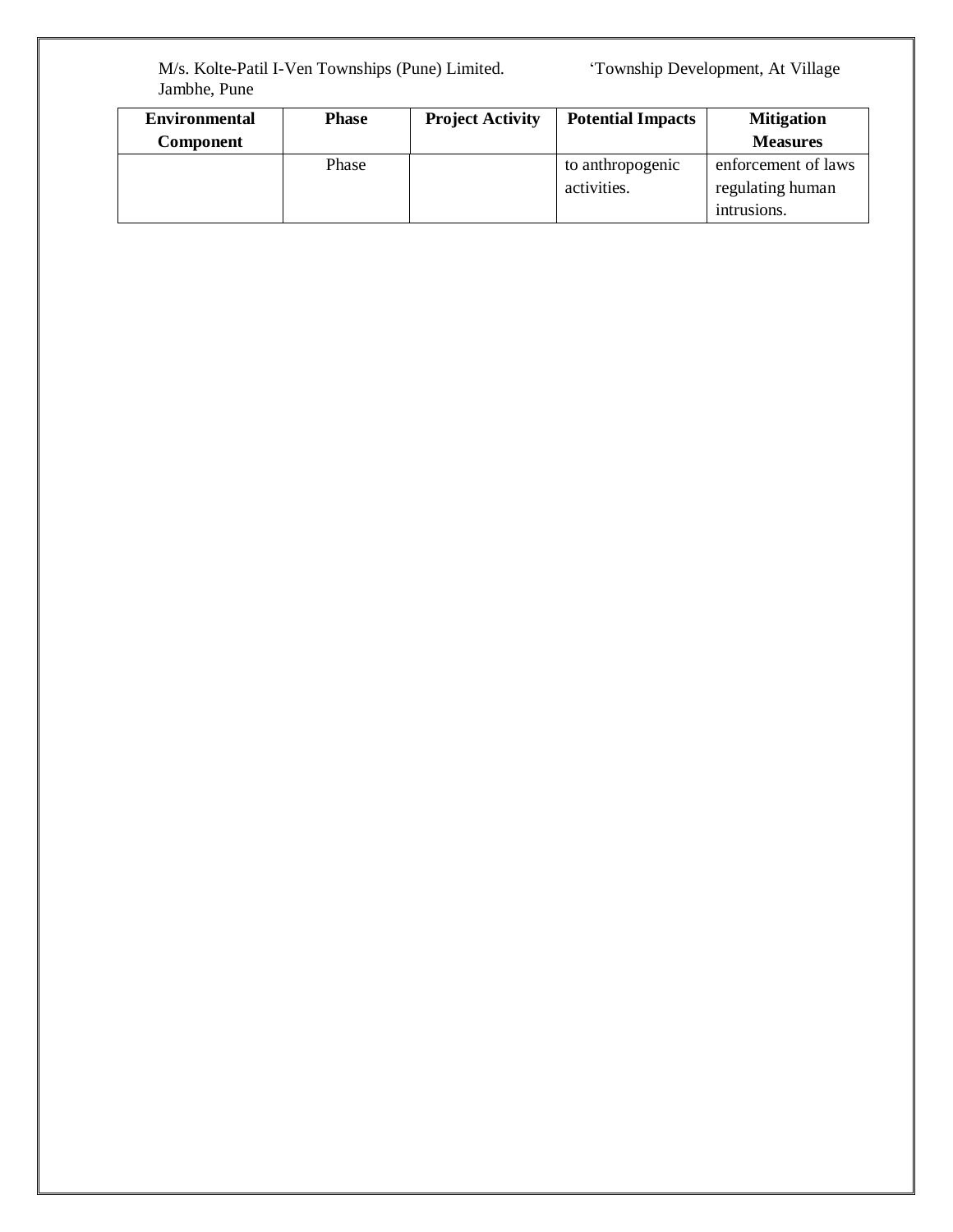| <b>Environmental</b> | <b>Phase</b> | <b>Project Activity</b> | <b>Potential Impacts</b> | <b>Mitigation</b>   |
|----------------------|--------------|-------------------------|--------------------------|---------------------|
| <b>Component</b>     |              |                         |                          | <b>Measures</b>     |
|                      | Phase        |                         | to anthropogenic         | enforcement of laws |
|                      |              |                         | activities.              | regulating human    |
|                      |              |                         |                          | intrusions.         |